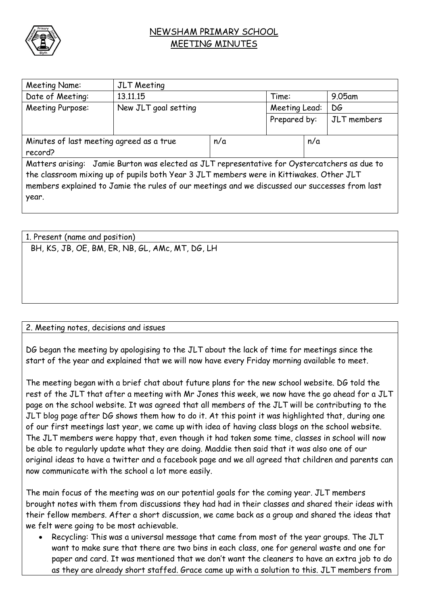

## NEWSHAM PRIMARY SCHOOL MEETING MINUTES

| Meeting Name:                                                                                 | <b>JLT</b> Meeting   |     |               |  |             |  |  |
|-----------------------------------------------------------------------------------------------|----------------------|-----|---------------|--|-------------|--|--|
| Date of Meeting:                                                                              | 13.11.15             |     | Time:         |  | 9.05am      |  |  |
| Meeting Purpose:                                                                              | New JLT goal setting |     | Meeting Lead: |  | DG          |  |  |
|                                                                                               |                      |     | Prepared by:  |  | JLT members |  |  |
|                                                                                               |                      |     |               |  |             |  |  |
| Minutes of last meeting agreed as a true                                                      |                      | n/a | n/a           |  |             |  |  |
| record?                                                                                       |                      |     |               |  |             |  |  |
| Matters arising: Jamie Burton was elected as JLT representative for Oystercatchers as due to  |                      |     |               |  |             |  |  |
| the classroom mixing up of pupils both Year 3 JLT members were in Kittiwakes. Other JLT       |                      |     |               |  |             |  |  |
| members explained to Jamie the rules of our meetings and we discussed our successes from last |                      |     |               |  |             |  |  |
| year.                                                                                         |                      |     |               |  |             |  |  |
|                                                                                               |                      |     |               |  |             |  |  |

| 1. Present (name and position)                  |  |  |  |  |  |
|-------------------------------------------------|--|--|--|--|--|
| BH, KS, JB, OE, BM, ER, NB, GL, AMc, MT, DG, LH |  |  |  |  |  |
|                                                 |  |  |  |  |  |
|                                                 |  |  |  |  |  |
|                                                 |  |  |  |  |  |
|                                                 |  |  |  |  |  |

2. Meeting notes, decisions and issues

DG began the meeting by apologising to the JLT about the lack of time for meetings since the start of the year and explained that we will now have every Friday morning available to meet.

The meeting began with a brief chat about future plans for the new school website. DG told the rest of the JLT that after a meeting with Mr Jones this week, we now have the go ahead for a JLT page on the school website. It was agreed that all members of the JLT will be contributing to the JLT blog page after DG shows them how to do it. At this point it was highlighted that, during one of our first meetings last year, we came up with idea of having class blogs on the school website. The JLT members were happy that, even though it had taken some time, classes in school will now be able to regularly update what they are doing. Maddie then said that it was also one of our original ideas to have a twitter and a facebook page and we all agreed that children and parents can now communicate with the school a lot more easily.

The main focus of the meeting was on our potential goals for the coming year. JLT members brought notes with them from discussions they had had in their classes and shared their ideas with their fellow members. After a short discussion, we came back as a group and shared the ideas that we felt were going to be most achievable.

 Recycling: This was a universal message that came from most of the year groups. The JLT want to make sure that there are two bins in each class, one for general waste and one for paper and card. It was mentioned that we don't want the cleaners to have an extra job to do as they are already short staffed. Grace came up with a solution to this. JLT members from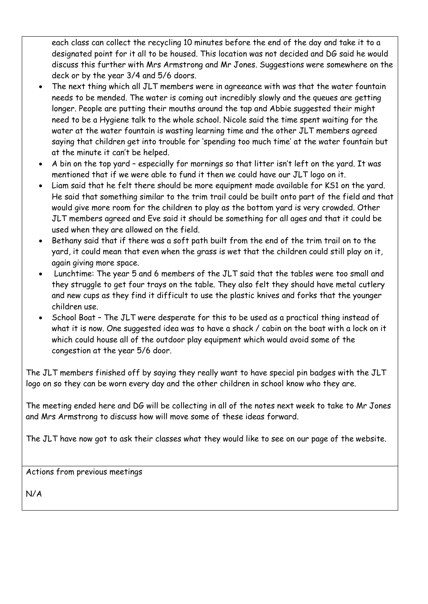each class can collect the recycling 10 minutes before the end of the day and take it to a designated point for it all to be housed. This location was not decided and DG said he would discuss this further with Mrs Armstrong and Mr Jones. Suggestions were somewhere on the deck or by the year 3/4 and 5/6 doors.

- The next thing which all JLT members were in agreeance with was that the water fountain needs to be mended. The water is coming out incredibly slowly and the queues are getting longer. People are putting their mouths around the tap and Abbie suggested their might need to be a Hygiene talk to the whole school. Nicole said the time spent waiting for the water at the water fountain is wasting learning time and the other JLT members agreed saying that children get into trouble for 'spending too much time' at the water fountain but at the minute it can't be helped.
- A bin on the top yard especially for mornings so that litter isn't left on the yard. It was mentioned that if we were able to fund it then we could have our JLT logo on it.
- Liam said that he felt there should be more equipment made available for KS1 on the yard. He said that something similar to the trim trail could be built onto part of the field and that would give more room for the children to play as the bottom yard is very crowded. Other JLT members agreed and Eve said it should be something for all ages and that it could be used when they are allowed on the field.
- Bethany said that if there was a soft path built from the end of the trim trail on to the yard, it could mean that even when the grass is wet that the children could still play on it, again giving more space.
- Lunchtime: The year 5 and 6 members of the JLT said that the tables were too small and they struggle to get four trays on the table. They also felt they should have metal cutlery and new cups as they find it difficult to use the plastic knives and forks that the younger children use.
- School Boat The JLT were desperate for this to be used as a practical thing instead of what it is now. One suggested idea was to have a shack / cabin on the boat with a lock on it which could house all of the outdoor play equipment which would avoid some of the congestion at the year 5/6 door.

The JLT members finished off by saying they really want to have special pin badges with the JLT logo on so they can be worn every day and the other children in school know who they are.

The meeting ended here and DG will be collecting in all of the notes next week to take to Mr Jones and Mrs Armstrong to discuss how will move some of these ideas forward.

The JLT have now got to ask their classes what they would like to see on our page of the website.

Actions from previous meetings

N/A